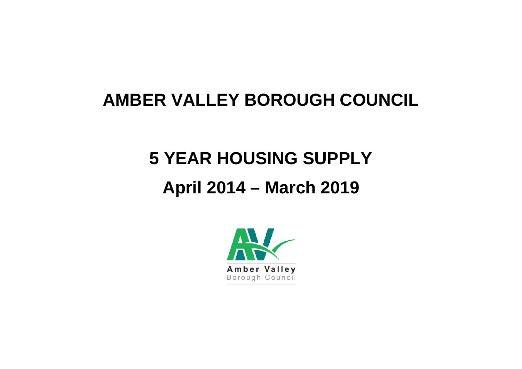# **AMBER VALLEY BOROUGH COUNCIL**

# **5 YEAR HOUSING SUPPLY April 2014 – March 2019**

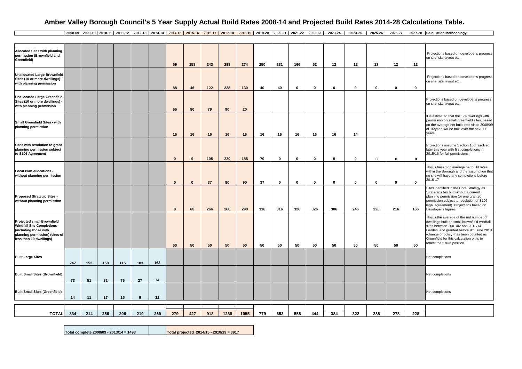#### **Amber Valley Borough Council's 5 Year Supply Actual Build Rates 2008-14 and Projected Build Rates 2014-28 Calculations Table.**

|2008-09|2009-10|2010-11|2011-12|2012-13|2013-14|2014-15|2015-16|2016-17|2017-18|2018-19|2019-20|2020-21|2021-22|2022-23|2023-24|2023-24|2025-26|2026-27|2027-28|Calculation Methodology

| <b>Allocated Sites with planning</b><br>permission (Brownfield and<br>Greenfield)                                                                           |     |     |     |     |     |     | 59           | 158      | 243 | 288  | 274  | 250 | 231         | 166         | 52           | 12           | 12          | 12          | 12           | 12          | Projections based on developer's progress<br>on site, site layout etc.                                                                                                                                                                                                                           |
|-------------------------------------------------------------------------------------------------------------------------------------------------------------|-----|-----|-----|-----|-----|-----|--------------|----------|-----|------|------|-----|-------------|-------------|--------------|--------------|-------------|-------------|--------------|-------------|--------------------------------------------------------------------------------------------------------------------------------------------------------------------------------------------------------------------------------------------------------------------------------------------------|
| <b>Unallocated Large Brownfield</b><br>Sites (10 or more dwellings) -<br>with planning permission                                                           |     |     |     |     |     |     | 88           | 46       | 122 | 228  | 130  | 40  | 40          | $\mathbf 0$ | $\mathbf{0}$ | $\mathbf{0}$ | $\mathbf 0$ | $\mathbf 0$ | $\mathbf{0}$ | $\mathbf 0$ | Projections based on developer's progress<br>on site, site layout etc.                                                                                                                                                                                                                           |
| <b>Unallocated Large Greenfield</b><br>Sites (10 or more dwellings) -<br>with planning permission                                                           |     |     |     |     |     |     | 66           | 80       | 79  | 90   | 20   |     |             |             |              |              |             |             |              |             | Projections based on developer's progress<br>on site, site layout etc.                                                                                                                                                                                                                           |
| Small Greenfield Sites - with<br>planning permission                                                                                                        |     |     |     |     |     |     | 16           | 16       | 16  | 16   | 16   | 16  | 16          | 16          | 16           | 16           | 14          |             |              |             | It is estimated that the 174 dwellings with<br>permission on small greenfield sites, based<br>on the average net build rate since 2008/09<br>of 16/year, will be built over the next 11<br>years.                                                                                                |
| Sites with resolution to grant<br>planning permission subject<br>to S106 Agreement                                                                          |     |     |     |     |     |     | $\mathbf{0}$ | 9        | 105 | 220  | 185  | 70  | $\pmb{0}$   | 0           | $\mathbf 0$  | $\mathbf 0$  | $\mathbf 0$ | $\mathbf 0$ | $\pmb{0}$    | $\mathbf 0$ | Projections assume Section 106 resolved<br>later this year with first completions in<br>2015/16 for full permissions.                                                                                                                                                                            |
| <b>Local Plan Allocations -</b><br>without planning permission                                                                                              |     |     |     |     |     |     | $\mathbf{0}$ | $\bf{0}$ | 37  | 80   | 90   | 37  | $\mathbf 0$ | $\mathbf 0$ | $\mathbf{0}$ | 0            | $\mathbf 0$ | $\mathbf 0$ | $\mathbf 0$  | $\mathbf 0$ | This is based on average net build rates<br>within the Borough and the assumption that<br>no site will have any completions before<br>2016-17                                                                                                                                                    |
| Proposed Strategic Sites -<br>without planning permission                                                                                                   |     |     |     |     |     |     | $\mathbf 0$  | 68       | 266 | 266  | 290  | 316 | 316         | 326         | 326          | 306          | 246         | 226         | 216          | 166         | Sites identified in the Core Strategy as<br>Strategic sites but without a current<br>planning permission (or one granted<br>permission subject to resolution of S106<br>legal agreement). Projections based on<br>Developer's figures                                                            |
| <b>Projected small Brownfield</b><br><b>Windfall Site Completions</b><br>(including those with<br>planning permission) (sites of<br>less than 10 dwellings) |     |     |     |     |     |     | 50           | 50       | 50  | 50   | 50   | 50  | 50          | 50          | 50           | 50           | 50          | 50          | 50           | 50          | This is the average of the net number of<br>dwellings built on small brownfield windfall<br>sites between 2001/02 and 2013/14.<br>Garden land granted before 9th June 2010<br>(change of policy) has been counted as<br>Greenfield for this calculation only, to<br>reflect the future position. |
| <b>Built Large Sites</b>                                                                                                                                    | 247 | 152 | 158 | 115 | 183 | 163 |              |          |     |      |      |     |             |             |              |              |             |             |              |             | Net completions                                                                                                                                                                                                                                                                                  |
| <b>Built Small Sites (Brownfield)</b>                                                                                                                       | 73  | 51  | 81  | 76  | 27  | 74  |              |          |     |      |      |     |             |             |              |              |             |             |              |             | Net completions                                                                                                                                                                                                                                                                                  |
| <b>Built Small Sites (Greenfield)</b>                                                                                                                       | 14  | 11  | 17  | 15  | 9   | 32  |              |          |     |      |      |     |             |             |              |              |             |             |              |             | Net completions                                                                                                                                                                                                                                                                                  |
|                                                                                                                                                             |     |     |     |     |     |     |              |          |     |      |      |     |             |             |              |              |             |             |              |             |                                                                                                                                                                                                                                                                                                  |
| <b>TOTAL</b>                                                                                                                                                | 334 | 214 | 256 | 206 | 219 | 269 | 279          | 427      | 918 | 1238 | 1055 | 779 | 653         | 558         | 444          | 384          | 322         | 288         | 278          | 228         |                                                                                                                                                                                                                                                                                                  |

**Total complete 2008/09 - 2013/14 = 1498 Total projected 2014/15 - 2018/19 = 3917**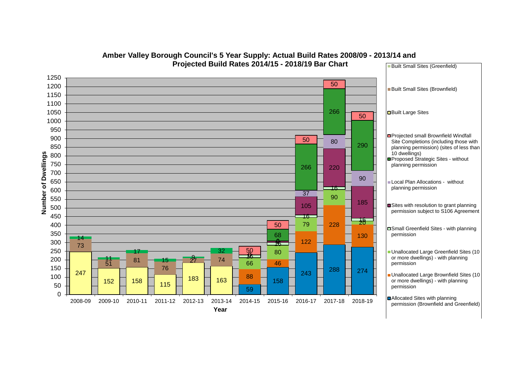

#### **Amber Valley Borough Council's 5 Year Supply: Actual Build Rates 2008/09 - 2013/14 and Projected Build Rates 2014/15 - 2018/19 Bar Chart** Built Small Sites (Greenfield)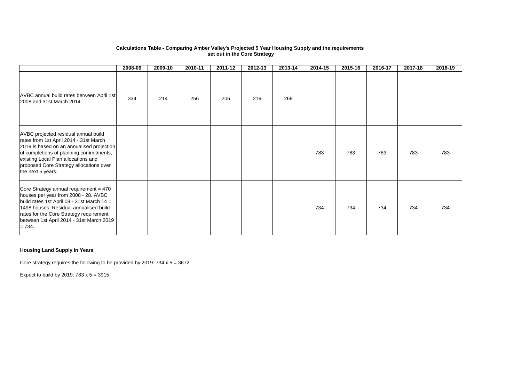#### **Calculations Table - Comparing Amber Valley's Projected 5 Year Housing Supply and the requirements set out in the Core Strategy**

|                                                                                                                                                                                                                                                                               | 2008-09 | 2009-10 | 2010-11 | 2011-12 | 2012-13 | 2013-14 | 2014-15 | 2015-16 | 2016-17 | 2017-18 | 2018-19 |
|-------------------------------------------------------------------------------------------------------------------------------------------------------------------------------------------------------------------------------------------------------------------------------|---------|---------|---------|---------|---------|---------|---------|---------|---------|---------|---------|
| AVBC annual build rates between April 1st<br>2008 and 31st March 2014.                                                                                                                                                                                                        | 334     | 214     | 256     | 206     | 219     | 269     |         |         |         |         |         |
| AVBC projected residual annual build<br>rates from 1st April 2014 - 31st March<br>2019 is based on an annualised projection<br>of completions of planning commitments,<br>existing Local Plan allocations and<br>proposed Core Strategy allocations over<br>the next 5 years. |         |         |         |         |         |         | 783     | 783     | 783     | 783     | 783     |
| Core Strategy annual requirement = 470<br>houses per year from 2008 - 28. AVBC<br>build rates 1st April 08 - 31st March 14 =<br>1498 houses. Residual annualised build<br>rates for the Core Strategy requirement<br>between 1st April 2014 - 31st March 2019<br>$= 734.$     |         |         |         |         |         |         | 734     | 734     | 734     | 734     | 734     |

#### **Housing Land Supply in Years**

Core strategy requires the following to be provided by 2019: 734 x 5 = 3672

Expect to build by 2019:  $783 \times 5 = 3915$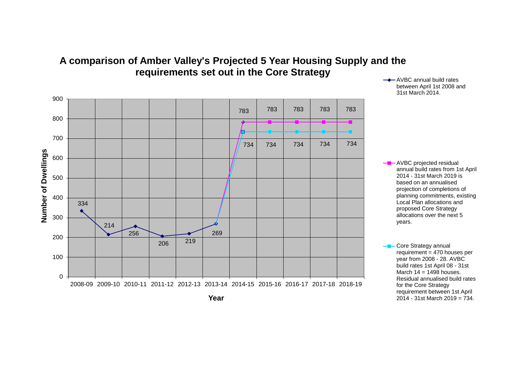



between April 1st 2008 and 31st March 2014.

annual build rates from 1st April 2014 - 31st March 2019 is based on an annualised projection of completions of planning commitments, existing Local Plan allocations and proposed Core Strategy allocations over the next 5

<sup>-&</sup>lt;sup>1</sup>-Core Strategy annual  $requirement = 470$  houses per year from 2008 - 28. AVBC build rates 1st April 08 - 31st March  $14 = 1498$  houses. Residual annualised build rates for the Core Strategy requirement between 1st April 2014 - 31st March 2019 = 734.

**Year**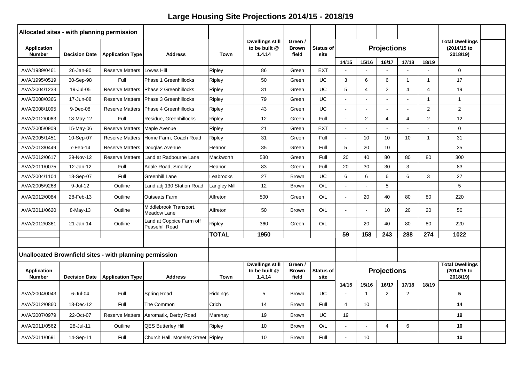| Allocated sites - with planning permission |                      |                                                         |                                            |                     |                                                   |                                  |                          |                |                |                    |                |                |                                                   |  |
|--------------------------------------------|----------------------|---------------------------------------------------------|--------------------------------------------|---------------------|---------------------------------------------------|----------------------------------|--------------------------|----------------|----------------|--------------------|----------------|----------------|---------------------------------------------------|--|
| <b>Application</b><br><b>Number</b>        | <b>Decision Date</b> | <b>Application Type</b>                                 | <b>Address</b>                             | <b>Town</b>         | <b>Dwellings still</b><br>to be built @<br>1.4.14 | Green /<br><b>Brown</b><br>field | <b>Status of</b><br>site |                |                | <b>Projections</b> |                |                | <b>Total Dwellings</b><br>(2014/15 to<br>2018/19) |  |
|                                            |                      |                                                         |                                            |                     |                                                   |                                  |                          | 14/15          | 15/16          | 16/17              | 17/18          | 18/19          |                                                   |  |
| AVA/1989/0461                              | 26-Jan-90            | <b>Reserve Matters</b>                                  | Lowes Hill                                 | Ripley              | 86                                                | Green                            | <b>EXT</b>               |                |                |                    |                |                | $\Omega$                                          |  |
| AVA/1995/0519                              | 30-Sep-98            | Full                                                    | Phase 1 Greenhillocks                      | <b>Ripley</b>       | 50                                                | Green                            | UC.                      | 3              | 6              | 6                  | $\mathbf{1}$   | $\mathbf{1}$   | 17                                                |  |
| AVA/2004/1233                              | 19-Jul-05            | <b>Reserve Matters</b>                                  | Phase 2 Greenhillocks                      | Ripley              | 31                                                | Green                            | UC.                      | 5              | 4              | 2                  | $\overline{4}$ | 4              | 19                                                |  |
| AVA/2008/0366                              | 17-Jun-08            | <b>Reserve Matters</b>                                  | Phase 3 Greenhillocks                      | <b>Ripley</b>       | 79                                                | Green                            | UC                       |                |                |                    |                | $\mathbf{1}$   | $\overline{1}$                                    |  |
| AVA/2008/1095                              | 9-Dec-08             | <b>Reserve Matters</b>                                  | Phase 4 Greenhillocks                      | Ripley              | 43                                                | Green                            | UC.                      |                |                |                    |                | 2              | 2                                                 |  |
| AVA/2012/0063                              | 18-May-12            | Full                                                    | Residue, Greenhillocks                     | Ripley              | 12                                                | Green                            | Full                     | $\sim$         | 2              | $\overline{4}$     | $\overline{4}$ | $\overline{2}$ | 12                                                |  |
| AVA/2005/0909                              | 15-May-06            | <b>Reserve Matters</b>                                  | Maple Avenue                               | Ripley              | 21                                                | Green                            | <b>EXT</b>               |                |                |                    |                |                | $\mathbf 0$                                       |  |
| AVA/2005/1451                              | 10-Sep-07            | <b>Reserve Matters</b>                                  | Home Farm, Coach Road                      | Ripley              | 31                                                | Green                            | Full                     | $\sim$         | 10             | 10                 | 10             | $\mathbf{1}$   | 31                                                |  |
| AVA/2013/0449                              | 7-Feb-14             | <b>Reserve Matters</b>                                  | Douglas Avenue                             | Heanor              | 35                                                | Green                            | Full                     | 5              | 20             | 10                 |                |                | 35                                                |  |
| AVA/2012/0617                              | 29-Nov-12            | <b>Reserve Matters</b>                                  | Land at Radbourne Lane                     | Mackworth           | 530                                               | Green                            | Full                     | 20             | 40             | 80                 | 80             | 80             | 300                                               |  |
| AVA/2011/0075                              | 12-Jan-12            | Full                                                    | Adale Road, Smalley                        | Heanor              | 83                                                | Green                            | Full                     | 20             | 30             | 30                 | 3              |                | 83                                                |  |
| AVA/2004/1104                              | 18-Sep-07            | Full                                                    | Greenhill Lane                             | Leabrooks           | 27                                                | <b>Brown</b>                     | UC.                      | 6              | 6              | 6                  | 6              | 3              | 27                                                |  |
| AVA/2005/9268                              | $9$ -Jul-12          | Outline                                                 | Land adj 130 Station Road                  | <b>Langley Mill</b> | 12                                                | <b>Brown</b>                     | O/L                      |                |                | 5                  |                |                | 5                                                 |  |
| AVA/2012/0084                              | 28-Feb-13            | Outline                                                 | <b>Outseats Farm</b>                       | Alfreton            | 500                                               | Green                            | O/L                      | $\sim$         | 20             | 40                 | 80             | 80             | 220                                               |  |
| AVA/2011/0620                              | 8-May-13             | Outline                                                 | Middlebrook Transport,<br>Meadow Lane      | Alfreton            | 50                                                | <b>Brown</b>                     | O/L                      | $\sim$         | ÷              | 10                 | 20             | 20             | 50                                                |  |
| AVA/2012/0361                              | 21-Jan-14            | Outline                                                 | Land at Coppice Farm off<br>Peasehill Road | Ripley              | 360                                               | Green                            | O/L                      |                | 20             | 40                 | 80             | 80             | 220                                               |  |
|                                            |                      |                                                         |                                            | <b>TOTAL</b>        | 1950                                              |                                  |                          | 59             | 158            | 243                | 288            | 274            | 1022                                              |  |
|                                            |                      |                                                         |                                            |                     |                                                   |                                  |                          |                |                |                    |                |                |                                                   |  |
|                                            |                      | Unallocated Brownfield sites - with planning permission |                                            |                     |                                                   |                                  |                          |                |                |                    |                |                |                                                   |  |
| <b>Application</b><br><b>Number</b>        | <b>Decision Date</b> | <b>Application Type</b>                                 | <b>Address</b>                             | <b>Town</b>         | <b>Dwellings still</b><br>to be built @<br>1.4.14 | Green /<br><b>Brown</b><br>field | <b>Status of</b><br>site |                |                | <b>Projections</b> |                |                | <b>Total Dwellings</b><br>(2014/15 to<br>2018/19) |  |
|                                            |                      |                                                         |                                            |                     |                                                   |                                  |                          | 14/15          | 15/16          | 16/17              | 17/18          | 18/19          |                                                   |  |
| AVA/2004/0043                              | 6-Jul-04             | Full                                                    | Spring Road                                | Riddings            | 5                                                 | <b>Brown</b>                     | UC.                      |                | $\overline{1}$ | 2                  | 2              |                | 5                                                 |  |
| AVA/2012/0860                              | 13-Dec-12            | Full                                                    | The Common                                 | Crich               | 14                                                | <b>Brown</b>                     | Full                     | $\overline{4}$ | 10             |                    |                |                | 14                                                |  |
| AVA/2007/0979                              | 22-Oct-07            | <b>Reserve Matters</b>                                  | Aeromatix, Derby Road                      | Marehay             | 19                                                | <b>Brown</b>                     | UC.                      | 19             |                |                    |                |                | 19                                                |  |
| AVA/2011/0562                              | 28-Jul-11            | Outline                                                 | <b>QES Butterley Hill</b>                  | <b>Ripley</b>       | 10                                                | <b>Brown</b>                     | O/L                      | $\sim$         | ÷,             | $\overline{4}$     | 6              |                | 10                                                |  |
| AVA/2011/0691                              | 14-Sep-11            | Full                                                    | Church Hall, Moseley Street Ripley         |                     | 10                                                | <b>Brown</b>                     | Full                     |                | 10             |                    |                |                | 10 <sup>°</sup>                                   |  |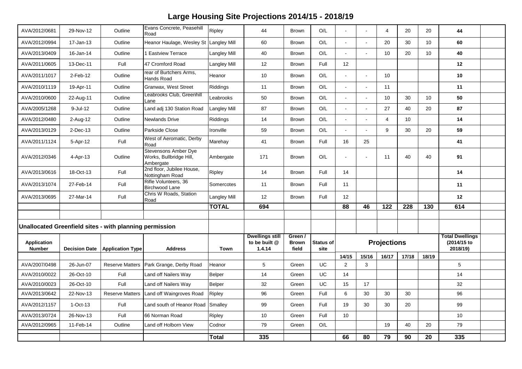| AVA/2012/0681                       | 29-Nov-12            | Outline                                                 | Evans Concrete, Peasehill<br>Road                                   | Ripley              | 44                                                | <b>Brown</b>                     | O/L                      |        |       | $\overline{4}$     | 20              | 20              | 44                                                |  |
|-------------------------------------|----------------------|---------------------------------------------------------|---------------------------------------------------------------------|---------------------|---------------------------------------------------|----------------------------------|--------------------------|--------|-------|--------------------|-----------------|-----------------|---------------------------------------------------|--|
| AVA/2012/0994                       | 17-Jan-13            | Outline                                                 | Heanor Haulage, Wesley St Langley Mill                              |                     | 60                                                | <b>Brown</b>                     | O/L                      |        |       | 20                 | 30              | 10 <sup>°</sup> | 60                                                |  |
| AVA/2013/0409                       | 16-Jan-14            | Outline                                                 | 1 Eastview Terrace                                                  | <b>Langley Mill</b> | 40                                                | <b>Brown</b>                     | O/L                      |        |       | 10                 | 20              | 10 <sup>1</sup> | 40                                                |  |
| AVA/2011/0605                       | 13-Dec-11            | Full                                                    | 47 Cromford Road                                                    | <b>Langley Mill</b> | 12                                                | <b>Brown</b>                     | Full                     | 12     |       |                    |                 |                 | 12                                                |  |
| AVA/2011/1017                       | 2-Feb-12             | Outline                                                 | rear of Burtchers Arms,<br>Hands Road                               | Heanor              | 10                                                | <b>Brown</b>                     | O/L                      |        |       | 10                 |                 |                 | 10                                                |  |
| AVA/2010/1119                       | 19-Apr-11            | Outline                                                 | Granwax, West Street                                                | Riddings            | 11                                                | <b>Brown</b>                     | O/L                      | $\sim$ |       | 11                 |                 |                 | 11                                                |  |
| AVA/2010/0600                       | 22-Aug-11            | Outline                                                 | Leabrooks Club, Greenhill<br>Lane                                   | Leabrooks           | 50                                                | <b>Brown</b>                     | O/L                      | $\sim$ |       | 10                 | 30              | 10 <sup>1</sup> | 50                                                |  |
| AVA/2005/1268                       | 9-Jul-12             | Outline                                                 | Land adj 130 Station Road                                           | <b>Langley Mill</b> | 87                                                | <b>Brown</b>                     | O/L                      | $\sim$ |       | 27                 | 40              | 20              | 87                                                |  |
| AVA/2012/0480                       | 2-Aug-12             | Outline                                                 | Newlands Drive                                                      | Riddings            | 14                                                | <b>Brown</b>                     | O/L                      | $\sim$ |       | $\overline{4}$     | 10              |                 | 14                                                |  |
| AVA/2013/0129                       | $2$ -Dec-13          | Outline                                                 | Parkside Close                                                      | Ironville           | 59                                                | <b>Brown</b>                     | O/L                      | $\sim$ |       | 9                  | 30              | 20              | 59                                                |  |
| AVA/2011/1124                       | 5-Apr-12             | Full                                                    | West of Aeromatic, Derby<br>Road                                    | Marehay             | 41                                                | <b>Brown</b>                     | Full                     | 16     | 25    |                    |                 |                 | 41                                                |  |
| AVA/2012/0346                       | 4-Apr-13             | Outline                                                 | <b>Stevensons Amber Dye</b><br>Works, Bullbridge Hill,<br>Ambergate | Ambergate           | 171                                               | <b>Brown</b>                     | O/L                      | $\sim$ |       | 11                 | 40              | 40              | 91                                                |  |
| AVA/2013/0616                       | 18-Oct-13            | Full                                                    | 2nd floor, Jubilee House,<br>Nottingham Road                        | <b>Ripley</b>       | 14                                                | <b>Brown</b>                     | Full                     | 14     |       |                    |                 |                 | 14                                                |  |
| AVA/2013/1074                       | 27-Feb-14            | Full                                                    | Rifle Volunteers, 36<br>Birchwood Lane                              | Somercotes          | 11                                                | <b>Brown</b>                     | Full                     | 11     |       |                    |                 |                 | 11                                                |  |
| AVA/2013/0695                       | 27-Mar-14            | Full                                                    | Chris W Roads, Station<br>Road                                      | <b>Langley Mill</b> | 12                                                | <b>Brown</b>                     | Full                     | 12     |       |                    |                 |                 | 12                                                |  |
|                                     |                      |                                                         |                                                                     | <b>TOTAL</b>        | 694                                               |                                  |                          | 88     | 46    | $\frac{1}{22}$     | 228             | 130             | 614                                               |  |
|                                     |                      |                                                         |                                                                     |                     |                                                   |                                  |                          |        |       |                    |                 |                 |                                                   |  |
|                                     |                      | Unallocated Greenfield sites - with planning permission |                                                                     |                     |                                                   |                                  |                          |        |       |                    |                 |                 |                                                   |  |
| <b>Application</b><br><b>Number</b> | <b>Decision Date</b> | <b>Application Type</b>                                 | <b>Address</b>                                                      | <b>Town</b>         | <b>Dwellings still</b><br>to be built @<br>1.4.14 | Green /<br><b>Brown</b><br>field | <b>Status of</b><br>site |        |       | <b>Projections</b> |                 |                 | <b>Total Dwellings</b><br>(2014/15 to<br>2018/19) |  |
|                                     |                      |                                                         |                                                                     |                     |                                                   |                                  |                          | 14/15  | 15/16 | 16/17              | 17/18           | 18/19           |                                                   |  |
| AVA/2007/0498                       | 26-Jun-07            | <b>Reserve Matters</b>                                  | Park Grange, Derby Road                                             | Heanor              | 5                                                 | Green                            | UC.                      | 2      | 3     |                    |                 |                 | 5                                                 |  |
| AVA/2010/0022                       | 26-Oct-10            | Full                                                    | Land off Nailers Way                                                | <b>Belper</b>       | 14                                                | Green                            | UC.                      | 14     |       |                    |                 |                 | 14                                                |  |
| AVA/2010/0023                       | 26-Oct-10            | Full                                                    | Land off Nailers Way                                                | <b>Belper</b>       | 32                                                | Green                            | UC                       | 15     | 17    |                    |                 |                 | 32                                                |  |
| AVA/2013/0642                       | 22-Nov-13            | <b>Reserve Matters</b>                                  | Land off Waingroves Road                                            | Ripley              | 96                                                | Green                            | Full                     | 6      | 30    | 30                 | 30              |                 | 96                                                |  |
| AVA/2012/1157                       | $1-Oct-13$           | Full                                                    | Land south of Heanor Road Smalley                                   |                     | 99                                                | Green                            | Full                     | 19     | 30    | 30                 | 20              |                 | 99                                                |  |
| AVA/2013/0724                       | 26-Nov-13            | Full                                                    | 66 Norman Road                                                      | <b>Ripley</b>       | 10 <sup>°</sup>                                   | Green                            | Full                     | 10     |       |                    |                 |                 | 10                                                |  |
| AVA/2012/0965                       | 11-Feb-14            | Outline                                                 | Land off Holborn View                                               | Codnor              | 79                                                | Green                            | O/L                      |        |       | 19                 | 40              | 20              | 79                                                |  |
|                                     |                      |                                                         |                                                                     | <b>Total</b>        | $\frac{1}{335}$                                   |                                  |                          | 66     | 80    | 79                 | $\overline{90}$ | 20              | 335                                               |  |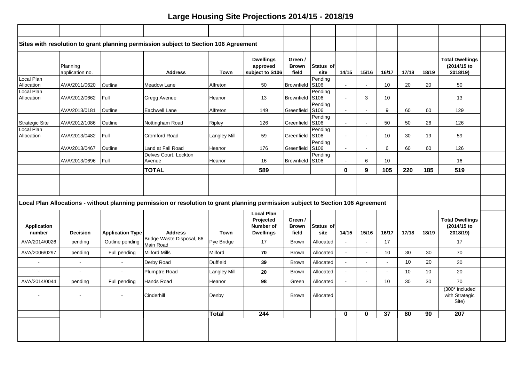|                              |                             |                                                                                                                                     | Sites with resolution to grant planning permission subject to Section 106 Agreement                                              |              |                                                                        |                                  |                             |                      |          |                          |       |       |                                                   |  |
|------------------------------|-----------------------------|-------------------------------------------------------------------------------------------------------------------------------------|----------------------------------------------------------------------------------------------------------------------------------|--------------|------------------------------------------------------------------------|----------------------------------|-----------------------------|----------------------|----------|--------------------------|-------|-------|---------------------------------------------------|--|
|                              | Planning<br>application no. |                                                                                                                                     | <b>Address</b>                                                                                                                   | Town         | <b>Dwellings</b><br>approved<br>subject to S106                        | Green /<br><b>Brown</b><br>field | Status of<br>site           | 14/15                | 15/16    | 16/17                    | 17/18 | 18/19 | <b>Total Dwellings</b><br>(2014/15 to<br>2018/19) |  |
| Local Plan<br>Allocation     | AVA/2011/0620               | Outline                                                                                                                             | Meadow Lane                                                                                                                      | Alfreton     | 50                                                                     | Brownfield                       | Pending<br>S <sub>106</sub> | $\sim$               | $\sim$   | 10                       | 20    | 20    | 50                                                |  |
| Local Plan<br>Allocation     | AVA/2012/0662               | Full                                                                                                                                | Gregg Avenue                                                                                                                     | Heanor       | 13                                                                     | Brownfield S106                  | Pending                     | $\sim$               | 3        | 10                       |       |       | 13                                                |  |
|                              | AVA/2013/0181               | Outline                                                                                                                             | Eachwell Lane                                                                                                                    | Alfreton     | 149                                                                    | Greenfield                       | Pending<br>S <sub>106</sub> | $\sim$               |          | 9                        | 60    | 60    | 129                                               |  |
| <b>Strategic Site</b>        | AVA/2012/1086               | Outline                                                                                                                             | Nottingham Road                                                                                                                  | Ripley       | 126                                                                    | Greenfield S106                  | Pending                     | $\blacksquare$       | $\sim$   | 50                       | 50    | 26    | 126                                               |  |
| Local Plan<br>Allocation     | AVA/2013/0482               | Full                                                                                                                                | Cromford Road                                                                                                                    | Langley Mill | 59                                                                     | Greenfield S106                  | Pending                     | $\sim$               | $\sim$   | 10                       | 30    | 19    | 59                                                |  |
|                              | AVA/2013/0467               | Pending<br>Greenfield S106<br>Land at Fall Road<br>176<br>Outline<br>Heanor<br>$\sim$<br>$\sim$<br>Delves Court, Lockton<br>Pending |                                                                                                                                  |              |                                                                        |                                  |                             |                      |          | 6                        | 60    | 60    | 126                                               |  |
|                              | AVA/2013/0696               | Full                                                                                                                                | Brownfield S106<br>16<br>10<br>Avenue<br>6<br>Heanor<br>$\sim$                                                                   |              |                                                                        |                                  |                             |                      |          |                          |       |       | 16                                                |  |
|                              |                             |                                                                                                                                     | <b>TOTAL</b><br>589<br>$\mathbf 0$<br>9<br>105                                                                                   |              |                                                                        |                                  |                             |                      |          |                          | 220   | 185   | 519                                               |  |
|                              |                             |                                                                                                                                     | Local Plan Allocations - without planning permission or resolution to grant planning permission subject to Section 106 Agreement |              |                                                                        |                                  |                             |                      |          |                          |       |       |                                                   |  |
| <b>Application</b><br>number | <b>Decision</b>             | <b>Application Type</b>                                                                                                             | <b>Address</b>                                                                                                                   | Town         | <b>Local Plan</b><br>Projected<br><b>Number of</b><br><b>Dwellings</b> | Green /<br><b>Brown</b><br>field | Status of<br>site           | 14/15                | 15/16    | 16/17                    | 17/18 | 18/19 | <b>Total Dwellings</b><br>(2014/15 to<br>2018/19) |  |
| AVA/2014/0026                | pending                     | Outline pending                                                                                                                     | Bridge Waste Disposal, 66<br>Main Road                                                                                           | Pye Bridge   | 17                                                                     | <b>Brown</b>                     | Allocated                   | $\sim$               |          | 17                       |       |       | 17                                                |  |
| AVA/2006/0297                | pending                     | Full pending                                                                                                                        | <b>Milford Mills</b>                                                                                                             | Milford      | 70                                                                     | <b>Brown</b>                     | Allocated                   | $\ddot{\phantom{1}}$ | $\sim$   | 10                       | 30    | 30    | 70                                                |  |
|                              |                             | $\mathbf{r}$                                                                                                                        | Derby Road                                                                                                                       | Duffield     | 39                                                                     | <b>Brown</b>                     | Allocated                   | $\sim$               |          | $\sim$                   | 10    | 20    | 30                                                |  |
| $\sim$                       |                             |                                                                                                                                     | <b>Plumptre Road</b>                                                                                                             | Langley Mill | 20                                                                     | <b>Brown</b>                     | Allocated                   | $\sim$               |          | $\overline{\phantom{a}}$ | 10    | 10    | 20                                                |  |
| AVA/2014/0044                | pending                     | Full pending                                                                                                                        | Hands Road                                                                                                                       | Heanor       | 98                                                                     | Green                            | Allocated                   | $\sim$               |          | 10                       | 30    | 30    | 70                                                |  |
| $\blacksquare$               | $\sim$                      | $\blacksquare$                                                                                                                      | Cinderhill                                                                                                                       | Denby        |                                                                        | <b>Brown</b>                     | Allocated                   |                      |          |                          |       |       | (300* included<br>with Strategic<br>Site)         |  |
|                              |                             |                                                                                                                                     |                                                                                                                                  | Total        | 244                                                                    |                                  |                             | $\bf{0}$             | $\bf{0}$ | $\overline{37}$          | 80    | 90    | 207                                               |  |
|                              |                             |                                                                                                                                     |                                                                                                                                  |              |                                                                        |                                  |                             |                      |          |                          |       |       |                                                   |  |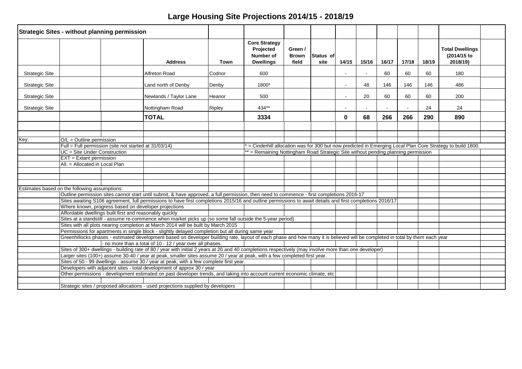|                       | <b>Strategic Sites - without planning permission</b>                                                                      |                                                                                                                                                                                        |        |                                                                                   |                                  |                   |        |       |       |       |       |                                                                                                           |  |
|-----------------------|---------------------------------------------------------------------------------------------------------------------------|----------------------------------------------------------------------------------------------------------------------------------------------------------------------------------------|--------|-----------------------------------------------------------------------------------|----------------------------------|-------------------|--------|-------|-------|-------|-------|-----------------------------------------------------------------------------------------------------------|--|
|                       |                                                                                                                           | <b>Address</b>                                                                                                                                                                         | Town   | <b>Core Strategy</b><br>Projected<br><b>Number of</b><br><b>Dwellings</b>         | Green /<br><b>Brown</b><br>field | Status of<br>site | 14/15  | 15/16 | 16/17 | 17/18 | 18/19 | <b>Total Dwellings</b><br>(2014/15 to<br>2018/19)                                                         |  |
| <b>Strategic Site</b> |                                                                                                                           | Alfreton Road                                                                                                                                                                          | Codnor | 600                                                                               |                                  |                   |        |       | 60    | 60    | 60    | 180                                                                                                       |  |
| <b>Strategic Site</b> |                                                                                                                           | Land north of Denby                                                                                                                                                                    | Denby  | 1800*                                                                             |                                  |                   |        | 48    | 146   | 146   | 146   | 486                                                                                                       |  |
| <b>Strategic Site</b> |                                                                                                                           | Newlands / Taylor Lane                                                                                                                                                                 | Heanor | 500                                                                               |                                  |                   | $\sim$ | 20    | 60    | 60    | 60    | 200                                                                                                       |  |
| <b>Strategic Site</b> |                                                                                                                           | Nottingham Road                                                                                                                                                                        | Ripley | 434**                                                                             |                                  |                   |        |       |       |       | 24    | 24                                                                                                        |  |
|                       |                                                                                                                           | <b>TOTAL</b>                                                                                                                                                                           |        | 3334                                                                              |                                  |                   | 0      | 68    | 266   | 266   | 290   | 890                                                                                                       |  |
|                       |                                                                                                                           |                                                                                                                                                                                        |        |                                                                                   |                                  |                   |        |       |       |       |       |                                                                                                           |  |
|                       | $O/L =$ Outline permission                                                                                                |                                                                                                                                                                                        |        |                                                                                   |                                  |                   |        |       |       |       |       |                                                                                                           |  |
| Key:                  | Full = Full permission (site not started at $31/03/14$ )                                                                  |                                                                                                                                                                                        |        |                                                                                   |                                  |                   |        |       |       |       |       | = Cinderhill allocation was for 300 but now predicted in Emerging Local Plan Core Strategy to build 1800. |  |
|                       | UC = Site Under Construction                                                                                              |                                                                                                                                                                                        |        | ** = Remaining Nottingham Road Strategic Site without pending planning permission |                                  |                   |        |       |       |       |       |                                                                                                           |  |
|                       | $EXT = Extant$ permission                                                                                                 |                                                                                                                                                                                        |        |                                                                                   |                                  |                   |        |       |       |       |       |                                                                                                           |  |
|                       | All. = Allocated in Local Plan                                                                                            |                                                                                                                                                                                        |        |                                                                                   |                                  |                   |        |       |       |       |       |                                                                                                           |  |
|                       |                                                                                                                           |                                                                                                                                                                                        |        |                                                                                   |                                  |                   |        |       |       |       |       |                                                                                                           |  |
|                       |                                                                                                                           |                                                                                                                                                                                        |        |                                                                                   |                                  |                   |        |       |       |       |       |                                                                                                           |  |
|                       |                                                                                                                           |                                                                                                                                                                                        |        |                                                                                   |                                  |                   |        |       |       |       |       |                                                                                                           |  |
|                       | Estimates based on the following assumptions:                                                                             |                                                                                                                                                                                        |        |                                                                                   |                                  |                   |        |       |       |       |       |                                                                                                           |  |
|                       |                                                                                                                           | Outline permission sites cannot start until submit, & have approved, a full permission, then need to commence - first completions 2016-17                                              |        |                                                                                   |                                  |                   |        |       |       |       |       |                                                                                                           |  |
|                       |                                                                                                                           | Sites awaiting S106 agreement, full permissions to have first completions 2015/16 and outline permissions to await details and first completions 2016/17                               |        |                                                                                   |                                  |                   |        |       |       |       |       |                                                                                                           |  |
|                       | Where known, progress based on developer projections                                                                      |                                                                                                                                                                                        |        |                                                                                   |                                  |                   |        |       |       |       |       |                                                                                                           |  |
|                       | Affordable dwellings built first and reasonably quickly                                                                   |                                                                                                                                                                                        |        |                                                                                   |                                  |                   |        |       |       |       |       |                                                                                                           |  |
|                       |                                                                                                                           | Sites at a standstill - assume re-commence when market picks up (so some fall outside the 5-year period)                                                                               |        |                                                                                   |                                  |                   |        |       |       |       |       |                                                                                                           |  |
|                       |                                                                                                                           | Sites with all plots nearing completion at March 2014 will be built by March 2015<br>Permissions for apartments in single block - slightly delayed completion but all during same year |        |                                                                                   |                                  |                   |        |       |       |       |       |                                                                                                           |  |
|                       |                                                                                                                           | Greenhillocks phases - estimated development based on developer building rate, layout of each phase and how many it is believed will be completed in total by them each year           |        |                                                                                   |                                  |                   |        |       |       |       |       |                                                                                                           |  |
|                       |                                                                                                                           | - no more than a total of 10 - 12 / year over all phases.                                                                                                                              |        |                                                                                   |                                  |                   |        |       |       |       |       |                                                                                                           |  |
|                       |                                                                                                                           | Sites of 300+ dwellings - building rate of 80 / year with initial 2 years at 20 and 40 completions respectively (may involve more than one developer)                                  |        |                                                                                   |                                  |                   |        |       |       |       |       |                                                                                                           |  |
|                       |                                                                                                                           | Larger sites (100+) assume 30-40 / year at peak, smaller sites assume 20 / year at peak, with a few completed first year.                                                              |        |                                                                                   |                                  |                   |        |       |       |       |       |                                                                                                           |  |
|                       | Sites of 50 - 99 dwellings - assume 30 / year at peak, with a few complete first year.                                    |                                                                                                                                                                                        |        |                                                                                   |                                  |                   |        |       |       |       |       |                                                                                                           |  |
|                       | Developers with adjacent sites - total development of approx 30 / year                                                    |                                                                                                                                                                                        |        |                                                                                   |                                  |                   |        |       |       |       |       |                                                                                                           |  |
|                       | Other permissions - development estimated on past developer trends, and taking into account current economic climate, etc |                                                                                                                                                                                        |        |                                                                                   |                                  |                   |        |       |       |       |       |                                                                                                           |  |
|                       |                                                                                                                           |                                                                                                                                                                                        |        |                                                                                   |                                  |                   |        |       |       |       |       |                                                                                                           |  |
|                       |                                                                                                                           | Strategic sites / proposed allocations - used projections supplied by developers                                                                                                       |        |                                                                                   |                                  |                   |        |       |       |       |       |                                                                                                           |  |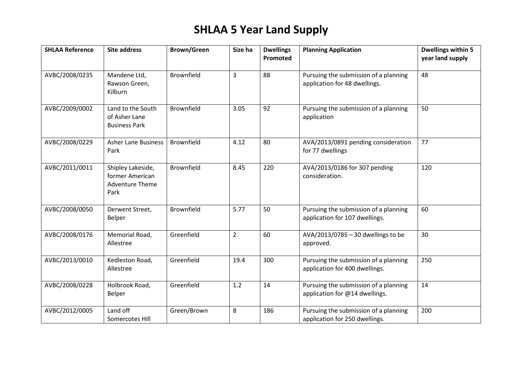# **SHLAA 5 Year Land Supply**

| <b>SHLAA Reference</b> | <b>Site address</b>                                                    | <b>Brown/Green</b> | Size ha        | <b>Dwellings</b><br>Promoted | <b>Planning Application</b>                                             | <b>Dwellings within 5</b><br>year land supply |
|------------------------|------------------------------------------------------------------------|--------------------|----------------|------------------------------|-------------------------------------------------------------------------|-----------------------------------------------|
| AVBC/2008/0235         | Mandene Ltd,<br>Rawson Green,<br>Kilburn                               | <b>Brownfield</b>  | $\overline{3}$ | 88                           | Pursuing the submission of a planning<br>application for 48 dwellings.  | 48                                            |
| AVBC/2009/0002         | Land to the South<br>of Asher Lane<br><b>Business Park</b>             | <b>Brownfield</b>  | 3.05           | 92                           | Pursuing the submission of a planning<br>application                    | 50                                            |
| AVBC/2008/0229         | <b>Asher Lane Business</b><br>Park                                     | Brownfield         | 4.12           | 80                           | AVA/2013/0891 pending consideration<br>for 77 dwellings                 | 77                                            |
| AVBC/2011/0011         | Shipley Lakeside,<br>former American<br><b>Adventure Theme</b><br>Park | <b>Brownfield</b>  | 8.45           | 220                          | AVA/2013/0186 for 307 pending<br>consideration.                         | 120                                           |
| AVBC/2008/0050         | Derwent Street,<br>Belper                                              | Brownfield         | 5.77           | 50                           | Pursuing the submission of a planning<br>application for 107 dwellings. | 60                                            |
| AVBC/2008/0176         | Memorial Road,<br>Allestree                                            | Greenfield         | $\overline{2}$ | 60                           | AVA/2013/0785 - 30 dwellings to be<br>approved.                         | 30                                            |
| AVBC/2013/0010         | Kedleston Road,<br>Allestree                                           | Greenfield         | 19.4           | 300                          | Pursuing the submission of a planning<br>application for 400 dwellings. | 250                                           |
| AVBC/2008/0228         | Holbrook Road,<br>Belper                                               | Greenfield         | 1.2            | 14                           | Pursuing the submission of a planning<br>application for @14 dwellings. | 14                                            |
| AVBC/2012/0005         | Land off<br>Somercotes Hill                                            | Green/Brown        | 8              | 186                          | Pursuing the submission of a planning<br>application for 250 dwellings. | 200                                           |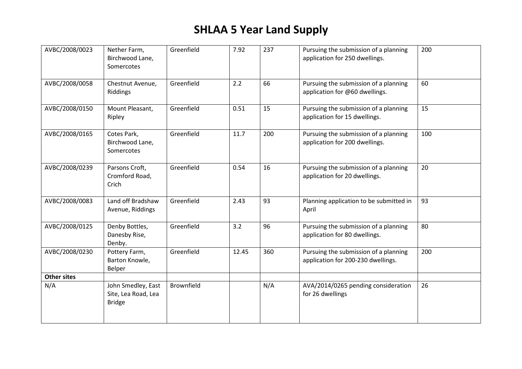# **SHLAA 5 Year Land Supply**

| AVBC/2008/0023     | Nether Farm,<br>Birchwood Lane,<br>Somercotes              | Greenfield | 7.92  | 237 | Pursuing the submission of a planning<br>application for 250 dwellings.     | 200 |
|--------------------|------------------------------------------------------------|------------|-------|-----|-----------------------------------------------------------------------------|-----|
| AVBC/2008/0058     | Chestnut Avenue,<br>Riddings                               | Greenfield | 2.2   | 66  | Pursuing the submission of a planning<br>application for @60 dwellings.     | 60  |
| AVBC/2008/0150     | Mount Pleasant,<br>Ripley                                  | Greenfield | 0.51  | 15  | Pursuing the submission of a planning<br>application for 15 dwellings.      | 15  |
| AVBC/2008/0165     | Cotes Park,<br>Birchwood Lane,<br>Somercotes               | Greenfield | 11.7  | 200 | Pursuing the submission of a planning<br>application for 200 dwellings.     | 100 |
| AVBC/2008/0239     | Parsons Croft,<br>Cromford Road,<br>Crich                  | Greenfield | 0.54  | 16  | Pursuing the submission of a planning<br>application for 20 dwellings.      | 20  |
| AVBC/2008/0083     | Land off Bradshaw<br>Avenue, Riddings                      | Greenfield | 2.43  | 93  | Planning application to be submitted in<br>April                            | 93  |
| AVBC/2008/0125     | Denby Bottles,<br>Danesby Rise,<br>Denby.                  | Greenfield | 3.2   | 96  | Pursuing the submission of a planning<br>application for 80 dwellings.      | 80  |
| AVBC/2008/0230     | Pottery Farm,<br>Barton Knowle,<br>Belper                  | Greenfield | 12.45 | 360 | Pursuing the submission of a planning<br>application for 200-230 dwellings. | 200 |
| <b>Other sites</b> |                                                            |            |       |     |                                                                             |     |
| N/A                | John Smedley, East<br>Site, Lea Road, Lea<br><b>Bridge</b> | Brownfield |       | N/A | AVA/2014/0265 pending consideration<br>for 26 dwellings                     | 26  |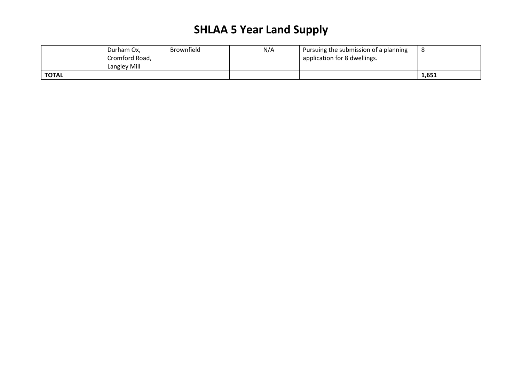# **SHLAA 5 Year Land Supply**

|              | Durham Ox,<br>Cromford Road,<br>Langley Mill | <b>Brownfield</b> | N/A | <sup>1</sup> Pursuing the submission of a planning<br>application for 8 dwellings. |       |
|--------------|----------------------------------------------|-------------------|-----|------------------------------------------------------------------------------------|-------|
| <b>TOTAL</b> |                                              |                   |     |                                                                                    | 1,651 |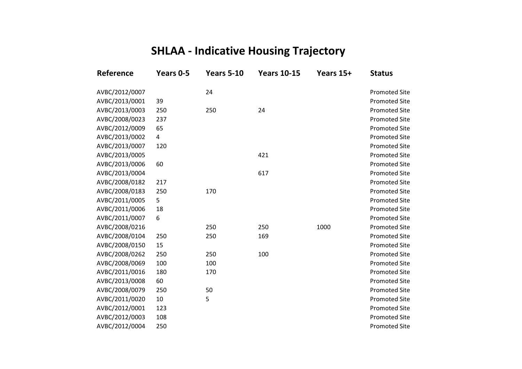# **SHLAA - Indicative Housing Trajectory**

| Reference      | Years 0-5 | <b>Years 5-10</b> | <b>Years 10-15</b> | Years 15+ | <b>Status</b>        |
|----------------|-----------|-------------------|--------------------|-----------|----------------------|
| AVBC/2012/0007 |           | 24                |                    |           | <b>Promoted Site</b> |
| AVBC/2013/0001 | 39        |                   |                    |           | <b>Promoted Site</b> |
| AVBC/2013/0003 | 250       | 250               | 24                 |           | <b>Promoted Site</b> |
| AVBC/2008/0023 | 237       |                   |                    |           | <b>Promoted Site</b> |
| AVBC/2012/0009 | 65        |                   |                    |           | <b>Promoted Site</b> |
| AVBC/2013/0002 | 4         |                   |                    |           | <b>Promoted Site</b> |
| AVBC/2013/0007 | 120       |                   |                    |           | <b>Promoted Site</b> |
| AVBC/2013/0005 |           |                   | 421                |           | <b>Promoted Site</b> |
| AVBC/2013/0006 | 60        |                   |                    |           | <b>Promoted Site</b> |
| AVBC/2013/0004 |           |                   | 617                |           | <b>Promoted Site</b> |
| AVBC/2008/0182 | 217       |                   |                    |           | <b>Promoted Site</b> |
| AVBC/2008/0183 | 250       | 170               |                    |           | <b>Promoted Site</b> |
| AVBC/2011/0005 | 5         |                   |                    |           | <b>Promoted Site</b> |
| AVBC/2011/0006 | 18        |                   |                    |           | <b>Promoted Site</b> |
| AVBC/2011/0007 | 6         |                   |                    |           | <b>Promoted Site</b> |
| AVBC/2008/0216 |           | 250               | 250                | 1000      | <b>Promoted Site</b> |
| AVBC/2008/0104 | 250       | 250               | 169                |           | <b>Promoted Site</b> |
| AVBC/2008/0150 | 15        |                   |                    |           | <b>Promoted Site</b> |
| AVBC/2008/0262 | 250       | 250               | 100                |           | <b>Promoted Site</b> |
| AVBC/2008/0069 | 100       | 100               |                    |           | <b>Promoted Site</b> |
| AVBC/2011/0016 | 180       | 170               |                    |           | <b>Promoted Site</b> |
| AVBC/2013/0008 | 60        |                   |                    |           | <b>Promoted Site</b> |
| AVBC/2008/0079 | 250       | 50                |                    |           | <b>Promoted Site</b> |
| AVBC/2011/0020 | 10        | 5                 |                    |           | <b>Promoted Site</b> |
| AVBC/2012/0001 | 123       |                   |                    |           | <b>Promoted Site</b> |
| AVBC/2012/0003 | 108       |                   |                    |           | <b>Promoted Site</b> |
| AVBC/2012/0004 | 250       |                   |                    |           | <b>Promoted Site</b> |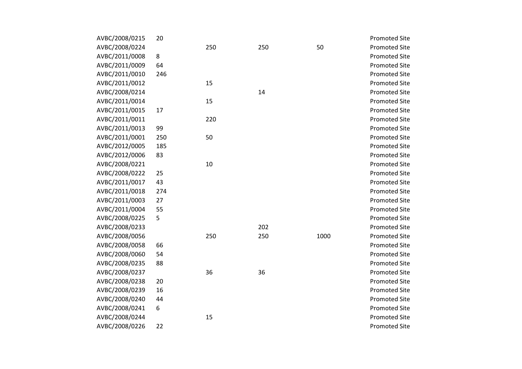| AVBC/2008/0215 | 20  |     |     |      | <b>Promoted Site</b> |
|----------------|-----|-----|-----|------|----------------------|
| AVBC/2008/0224 |     | 250 | 250 | 50   | <b>Promoted Site</b> |
| AVBC/2011/0008 | 8   |     |     |      | <b>Promoted Site</b> |
| AVBC/2011/0009 | 64  |     |     |      | <b>Promoted Site</b> |
| AVBC/2011/0010 | 246 |     |     |      | <b>Promoted Site</b> |
| AVBC/2011/0012 |     | 15  |     |      | <b>Promoted Site</b> |
| AVBC/2008/0214 |     |     | 14  |      | <b>Promoted Site</b> |
| AVBC/2011/0014 |     | 15  |     |      | <b>Promoted Site</b> |
| AVBC/2011/0015 | 17  |     |     |      | <b>Promoted Site</b> |
| AVBC/2011/0011 |     | 220 |     |      | <b>Promoted Site</b> |
| AVBC/2011/0013 | 99  |     |     |      | <b>Promoted Site</b> |
| AVBC/2011/0001 | 250 | 50  |     |      | <b>Promoted Site</b> |
| AVBC/2012/0005 | 185 |     |     |      | <b>Promoted Site</b> |
| AVBC/2012/0006 | 83  |     |     |      | <b>Promoted Site</b> |
| AVBC/2008/0221 |     | 10  |     |      | <b>Promoted Site</b> |
| AVBC/2008/0222 | 25  |     |     |      | <b>Promoted Site</b> |
| AVBC/2011/0017 | 43  |     |     |      | <b>Promoted Site</b> |
| AVBC/2011/0018 | 274 |     |     |      | <b>Promoted Site</b> |
| AVBC/2011/0003 | 27  |     |     |      | <b>Promoted Site</b> |
| AVBC/2011/0004 | 55  |     |     |      | <b>Promoted Site</b> |
| AVBC/2008/0225 | 5   |     |     |      | <b>Promoted Site</b> |
| AVBC/2008/0233 |     |     | 202 |      | <b>Promoted Site</b> |
| AVBC/2008/0056 |     | 250 | 250 | 1000 | <b>Promoted Site</b> |
| AVBC/2008/0058 | 66  |     |     |      | <b>Promoted Site</b> |
| AVBC/2008/0060 | 54  |     |     |      | <b>Promoted Site</b> |
| AVBC/2008/0235 | 88  |     |     |      | <b>Promoted Site</b> |
| AVBC/2008/0237 |     | 36  | 36  |      | <b>Promoted Site</b> |
| AVBC/2008/0238 | 20  |     |     |      | <b>Promoted Site</b> |
| AVBC/2008/0239 | 16  |     |     |      | <b>Promoted Site</b> |
| AVBC/2008/0240 | 44  |     |     |      | <b>Promoted Site</b> |
| AVBC/2008/0241 | 6   |     |     |      | <b>Promoted Site</b> |
| AVBC/2008/0244 |     | 15  |     |      | <b>Promoted Site</b> |
| AVBC/2008/0226 | 22  |     |     |      | <b>Promoted Site</b> |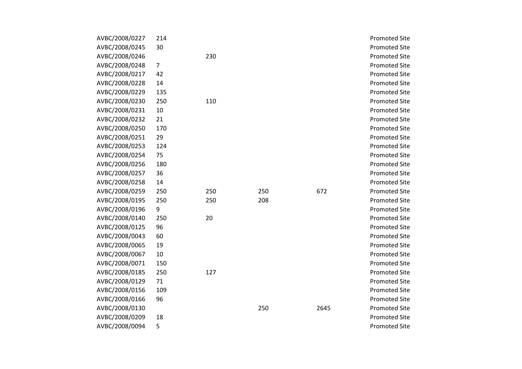| AVBC/2008/0227 | 214            |     |     |      | <b>Promoted Site</b> |
|----------------|----------------|-----|-----|------|----------------------|
| AVBC/2008/0245 | 30             |     |     |      | <b>Promoted Site</b> |
| AVBC/2008/0246 |                | 230 |     |      | <b>Promoted Site</b> |
| AVBC/2008/0248 | $\overline{7}$ |     |     |      | <b>Promoted Site</b> |
| AVBC/2008/0217 | 42             |     |     |      | <b>Promoted Site</b> |
| AVBC/2008/0228 | 14             |     |     |      | <b>Promoted Site</b> |
| AVBC/2008/0229 | 135            |     |     |      | <b>Promoted Site</b> |
| AVBC/2008/0230 | 250            | 110 |     |      | <b>Promoted Site</b> |
| AVBC/2008/0231 | 10             |     |     |      | <b>Promoted Site</b> |
| AVBC/2008/0232 | 21             |     |     |      | <b>Promoted Site</b> |
| AVBC/2008/0250 | 170            |     |     |      | <b>Promoted Site</b> |
| AVBC/2008/0251 | 29             |     |     |      | <b>Promoted Site</b> |
| AVBC/2008/0253 | 124            |     |     |      | <b>Promoted Site</b> |
| AVBC/2008/0254 | 75             |     |     |      | <b>Promoted Site</b> |
| AVBC/2008/0256 | 180            |     |     |      | <b>Promoted Site</b> |
| AVBC/2008/0257 | 36             |     |     |      | <b>Promoted Site</b> |
| AVBC/2008/0258 | 14             |     |     |      | <b>Promoted Site</b> |
| AVBC/2008/0259 | 250            | 250 | 250 | 672  | <b>Promoted Site</b> |
| AVBC/2008/0195 | 250            | 250 | 208 |      | <b>Promoted Site</b> |
| AVBC/2008/0196 | 9              |     |     |      | <b>Promoted Site</b> |
| AVBC/2008/0140 | 250            | 20  |     |      | <b>Promoted Site</b> |
| AVBC/2008/0125 | 96             |     |     |      | <b>Promoted Site</b> |
| AVBC/2008/0043 | 60             |     |     |      | <b>Promoted Site</b> |
| AVBC/2008/0065 | 19             |     |     |      | <b>Promoted Site</b> |
| AVBC/2008/0067 | 10             |     |     |      | <b>Promoted Site</b> |
| AVBC/2008/0071 | 150            |     |     |      | <b>Promoted Site</b> |
| AVBC/2008/0185 | 250            | 127 |     |      | <b>Promoted Site</b> |
| AVBC/2008/0129 | 71             |     |     |      | <b>Promoted Site</b> |
| AVBC/2008/0156 | 109            |     |     |      | <b>Promoted Site</b> |
| AVBC/2008/0166 | 96             |     |     |      | <b>Promoted Site</b> |
| AVBC/2008/0130 |                |     | 250 | 2645 | <b>Promoted Site</b> |
| AVBC/2008/0209 | 18             |     |     |      | <b>Promoted Site</b> |
| AVBC/2008/0094 | 5              |     |     |      | <b>Promoted Site</b> |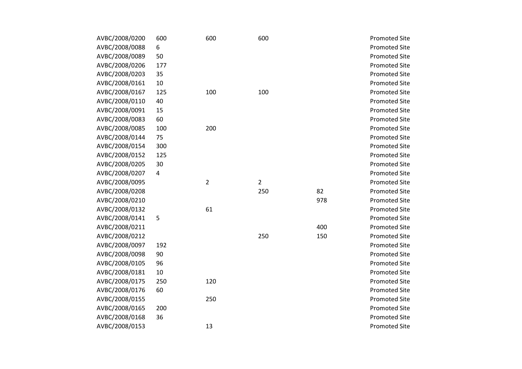| AVBC/2008/0200 | 600 | 600            | 600            |     | <b>Promoted Site</b> |
|----------------|-----|----------------|----------------|-----|----------------------|
| AVBC/2008/0088 | 6   |                |                |     | <b>Promoted Site</b> |
| AVBC/2008/0089 | 50  |                |                |     | <b>Promoted Site</b> |
| AVBC/2008/0206 | 177 |                |                |     | <b>Promoted Site</b> |
| AVBC/2008/0203 | 35  |                |                |     | <b>Promoted Site</b> |
| AVBC/2008/0161 | 10  |                |                |     | <b>Promoted Site</b> |
| AVBC/2008/0167 | 125 | 100            | 100            |     | <b>Promoted Site</b> |
| AVBC/2008/0110 | 40  |                |                |     | <b>Promoted Site</b> |
| AVBC/2008/0091 | 15  |                |                |     | <b>Promoted Site</b> |
| AVBC/2008/0083 | 60  |                |                |     | <b>Promoted Site</b> |
| AVBC/2008/0085 | 100 | 200            |                |     | <b>Promoted Site</b> |
| AVBC/2008/0144 | 75  |                |                |     | <b>Promoted Site</b> |
| AVBC/2008/0154 | 300 |                |                |     | <b>Promoted Site</b> |
| AVBC/2008/0152 | 125 |                |                |     | <b>Promoted Site</b> |
| AVBC/2008/0205 | 30  |                |                |     | <b>Promoted Site</b> |
| AVBC/2008/0207 | 4   |                |                |     | <b>Promoted Site</b> |
| AVBC/2008/0095 |     | $\overline{2}$ | $\overline{2}$ |     | <b>Promoted Site</b> |
| AVBC/2008/0208 |     |                | 250            | 82  | <b>Promoted Site</b> |
| AVBC/2008/0210 |     |                |                | 978 | <b>Promoted Site</b> |
| AVBC/2008/0132 |     | 61             |                |     | <b>Promoted Site</b> |
| AVBC/2008/0141 | 5   |                |                |     | <b>Promoted Site</b> |
| AVBC/2008/0211 |     |                |                | 400 | <b>Promoted Site</b> |
| AVBC/2008/0212 |     |                | 250            | 150 | <b>Promoted Site</b> |
| AVBC/2008/0097 | 192 |                |                |     | <b>Promoted Site</b> |
| AVBC/2008/0098 | 90  |                |                |     | <b>Promoted Site</b> |
| AVBC/2008/0105 | 96  |                |                |     | <b>Promoted Site</b> |
| AVBC/2008/0181 | 10  |                |                |     | <b>Promoted Site</b> |
| AVBC/2008/0175 | 250 | 120            |                |     | <b>Promoted Site</b> |
| AVBC/2008/0176 | 60  |                |                |     | <b>Promoted Site</b> |
| AVBC/2008/0155 |     | 250            |                |     | <b>Promoted Site</b> |
| AVBC/2008/0165 | 200 |                |                |     | <b>Promoted Site</b> |
| AVBC/2008/0168 | 36  |                |                |     | <b>Promoted Site</b> |
| AVBC/2008/0153 |     | 13             |                |     | <b>Promoted Site</b> |
|                |     |                |                |     |                      |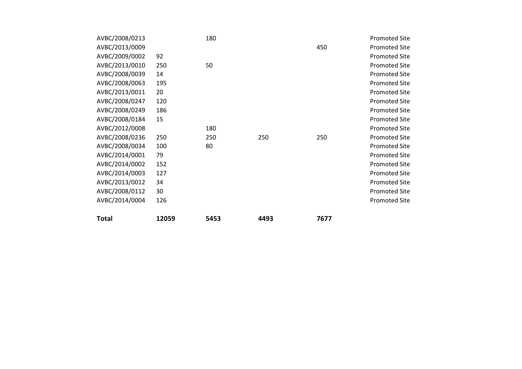| AVBC/2008/0213 |       | 180  |      |      | <b>Promoted Site</b> |
|----------------|-------|------|------|------|----------------------|
| AVBC/2013/0009 |       |      |      | 450  | <b>Promoted Site</b> |
| AVBC/2009/0002 | 92    |      |      |      | <b>Promoted Site</b> |
| AVBC/2013/0010 | 250   | 50   |      |      | <b>Promoted Site</b> |
| AVBC/2008/0039 | 14    |      |      |      | <b>Promoted Site</b> |
| AVBC/2008/0063 | 195   |      |      |      | <b>Promoted Site</b> |
| AVBC/2013/0011 | 20    |      |      |      | <b>Promoted Site</b> |
| AVBC/2008/0247 | 120   |      |      |      | <b>Promoted Site</b> |
| AVBC/2008/0249 | 186   |      |      |      | <b>Promoted Site</b> |
| AVBC/2008/0184 | 15    |      |      |      | <b>Promoted Site</b> |
| AVBC/2012/0008 |       | 180  |      |      | <b>Promoted Site</b> |
| AVBC/2008/0236 | 250   | 250  | 250  | 250  | <b>Promoted Site</b> |
| AVBC/2008/0034 | 100   | 80   |      |      | <b>Promoted Site</b> |
| AVBC/2014/0001 | 79    |      |      |      | <b>Promoted Site</b> |
| AVBC/2014/0002 | 152   |      |      |      | <b>Promoted Site</b> |
| AVBC/2014/0003 | 127   |      |      |      | <b>Promoted Site</b> |
| AVBC/2013/0012 | 34    |      |      |      | <b>Promoted Site</b> |
| AVBC/2008/0112 | 30    |      |      |      | <b>Promoted Site</b> |
| AVBC/2014/0004 | 126   |      |      |      | <b>Promoted Site</b> |
|                |       |      |      |      |                      |
| <b>Total</b>   | 12059 | 5453 | 4493 | 7677 |                      |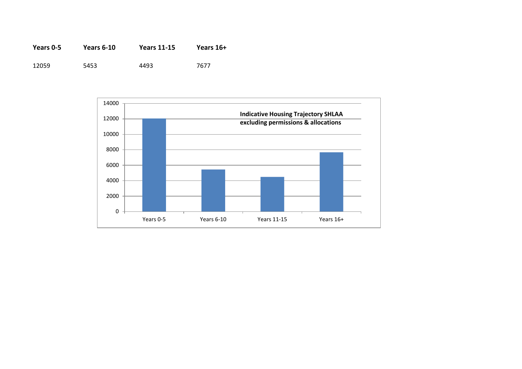| Years 0-5 | <b>Years 6-10</b> | <b>Years 11-15</b> | Years 16+ |
|-----------|-------------------|--------------------|-----------|
| 12059     | 5453              | 4493               | 7677      |